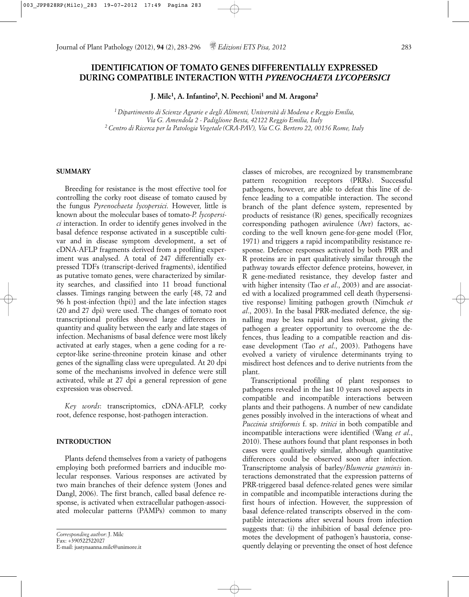# **IDENTIFICATION OF TOMATO GENES DIFFERENTIALLY EXPRESSED DURING COMPATIBLE INTERACTION WITH** *PYRENOCHAETA LYCOPERSICI*

**J. Milc1, A. Infantino2, N. Pecchioni1 and M. Aragona2**

*1 Dipartimento di Scienze Agrarie e degli Alimenti, Università di Modena e Reggio Emilia, Via G. Amendola 2 - Padiglione Besta, 42122 Reggio Emilia, Italy 2 Centro di Ricerca per la Patologia Vegetale (CRA-PAV), Via C.G. Bertero 22, 00156 Rome, Italy*

### **SUMMARY**

Breeding for resistance is the most effective tool for controlling the corky root disease of tomato caused by the fungus *Pyrenochaeta lycopersici*. However, little is known about the molecular bases of tomato-*P. lycopersici* interaction. In order to identify genes involved in the basal defence response activated in a susceptible cultivar and in disease symptom development, a set of cDNA-AFLP fragments derived from a profiling experiment was analysed. A total of 247 differentially expressed TDFs (transcript-derived fragments), identified as putative tomato genes, were characterized by similarity searches, and classified into 11 broad functional classes. Timings ranging between the early [48, 72 and 96 h post-infection (hpi)] and the late infection stages (20 and 27 dpi) were used. The changes of tomato root transcriptional profiles showed large differences in quantity and quality between the early and late stages of infection. Mechanisms of basal defence were most likely activated at early stages, when a gene coding for a receptor-like serine-threonine protein kinase and other genes of the signalling class were upregulated. At 20 dpi some of the mechanisms involved in defence were still activated, while at 27 dpi a general repression of gene expression was observed.

*Key words*: transcriptomics, cDNA-AFLP, corky root, defence response, host-pathogen interaction.

### **INTRODUCTION**

Plants defend themselves from a variety of pathogens employing both preformed barriers and inducible molecular responses. Various responses are activated by two main branches of their defence system (Jones and Dangl, 2006). The first branch, called basal defence response, is activated when extracellular pathogen-associated molecular patterns (PAMPs) common to many

classes of microbes, are recognized by transmembrane pattern recognition receptors (PRRs). Successful pathogens, however, are able to defeat this line of defence leading to a compatible interaction. The second branch of the plant defence system, represented by products of resistance (R) genes, specifically recognizes corresponding pathogen avirulence (Avr) factors, according to the well known gene-for-gene model (Flor, 1971) and triggers a rapid incompatibility resistance response. Defence responses activated by both PRR and R proteins are in part qualitatively similar through the pathway towards effector defence proteins, however, in R gene-mediated resistance, they develop faster and with higher intensity (Tao *et al*., 2003) and are associated with a localized programmed cell death (hypersensitive response) limiting pathogen growth (Nimchuk *et al*., 2003). In the basal PRR-mediated defence, the signalling may be less rapid and less robust, giving the pathogen a greater opportunity to overcome the defences, thus leading to a compatible reaction and disease development (Tao *et al*., 2003). Pathogens have evolved a variety of virulence determinants trying to misdirect host defences and to derive nutrients from the plant.

Transcriptional profiling of plant responses to pathogens revealed in the last 10 years novel aspects in compatible and incompatible interactions between plants and their pathogens. A number of new candidate genes possibly involved in the interactions of wheat and *Puccinia striiformis* f. sp. *tritici* in both compatible and incompatible interactions were identified (Wang *et al*., 2010). These authors found that plant responses in both cases were qualitatively similar, although quantitative differences could be observed soon after infection. Transcriptome analysis of barley/*Blumeria graminis* interactions demonstrated that the expression patterns of PRR-triggered basal defence-related genes were similar in compatible and incompatible interactions during the first hours of infection. However, the suppression of basal defence-related transcripts observed in the compatible interactions after several hours from infection suggests that: (i) the inhibition of basal defence promotes the development of pathogen's haustoria, consequently delaying or preventing the onset of host defence

*Corresponding author*: J. Milc Fax: +390522522027 E-mail: justynaanna.milc@unimore.it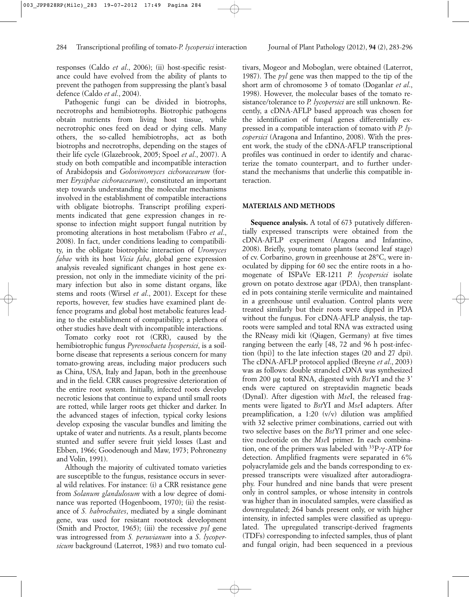responses (Caldo *et al*., 2006); (ii) host-specific resistance could have evolved from the ability of plants to prevent the pathogen from suppressing the plant's basal defence (Caldo *et al*., 2004).

Pathogenic fungi can be divided in biotrophs, necrotrophs and hemibiotrophs. Biotrophic pathogens obtain nutrients from living host tissue, while necrotrophic ones feed on dead or dying cells. Many others, the so-called hemibiotrophs, act as both biotrophs and necrotrophs, depending on the stages of their life cycle (Glazebrook, 2005; Spoel *et al*., 2007). A study on both compatible and incompatible interaction of Arabidopsis and *Golovinomyces cichoracearum* (former *Erysiphae cichoracearum*), constituted an important step towards understanding the molecular mechanisms involved in the establishment of compatible interactions with obligate biotrophs. Transcript profiling experiments indicated that gene expression changes in response to infection might support fungal nutrition by promoting alterations in host metabolism (Fabro *et al*., 2008). In fact, under conditions leading to compatibility, in the obligate biotrophic interaction of *Uromyces fabae* with its host *Vicia faba*, global gene expression analysis revealed significant changes in host gene expression, not only in the immediate vicinity of the primary infection but also in some distant organs, like stems and roots (Wirsel *et al*., 2001). Except for these reports, however, few studies have examined plant defence programs and global host metabolic features leading to the establishment of compatibility; a plethora of other studies have dealt with incompatible interactions.

Tomato corky root rot (CRR), caused by the hemibiotrophic fungus *Pyrenochaeta lycopersici*, is a soilborne disease that represents a serious concern for many tomato-growing areas, including major producers such as China, USA, Italy and Japan, both in the greenhouse and in the field. CRR causes progressive deterioration of the entire root system. Initially, infected roots develop necrotic lesions that continue to expand until small roots are rotted, while larger roots get thicker and darker. In the advanced stages of infection, typical corky lesions develop exposing the vascular bundles and limiting the uptake of water and nutrients. As a result, plants become stunted and suffer severe fruit yield losses (Last and Ebben, 1966; Goodenough and Maw, 1973; Pohronezny and Volin, 1991).

Although the majority of cultivated tomato varieties are susceptible to the fungus, resistance occurs in several wild relatives. For instance: (i) a CRR resistance gene from *Solanum glandulosum* with a low degree of dominance was reported (Hogenboom, 1970); (ii) the resistance of *S. habrochaites*, mediated by a single dominant gene, was used for resistant rootstock development (Smith and Proctor, 1965); (iii) the recessive *pyl* gene was introgressed from *S. peruvianum* into a *S*. *lycopersicum* background (Laterrot, 1983) and two tomato cultivars, Mogeor and Moboglan, were obtained (Laterrot, 1987). The *pyl* gene was then mapped to the tip of the short arm of chromosome 3 of tomato (Doganlar *et al*., 1998). However, the molecular bases of the tomato resistance/tolerance to *P. lycopersici* are still unknown. Recently, a cDNA-AFLP based approach was chosen for the identification of fungal genes differentially expressed in a compatible interaction of tomato with *P. lycopersici* (Aragona and Infantino, 2008). With the present work, the study of the cDNA-AFLP transcriptional profiles was continued in order to identify and characterize the tomato counterpart, and to further understand the mechanisms that underlie this compatible interaction.

### **MATERIALS AND METHODS**

**Sequence analysis.** A total of 673 putatively differentially expressed transcripts were obtained from the cDNA-AFLP experiment (Aragona and Infantino, 2008). Briefly, young tomato plants (second leaf stage) of cv. Corbarino, grown in greenhouse at 28°C, were inoculated by dipping for 60 sec the entire roots in a homogenate of ISPaVe ER-1211 *P. lycopersici* isolate grown on potato dextrose agar (PDA), then transplanted in pots containing sterile vermiculite and maintained in a greenhouse until evaluation. Control plants were treated similarly but their roots were dipped in PDA without the fungus. For cDNA-AFLP analysis, the taproots were sampled and total RNA was extracted using the RNeasy midi kit (Qiagen, Germany) at five times ranging between the early [48, 72 and 96 h post-infection (hpi)] to the late infection stages (20 and 27 dpi). The cDNA-AFLP protocol applied (Breyne *et al*., 2003) was as follows: double stranded cDNA was synthesized from 200 µg total RNA, digested with *Bst*YI and the 3' ends were captured on streptavidin magnetic beads (DynaI). After digestion with *Mse*I, the released fragments were ligated to *Bst*YI and *Mse*I adapters. After preamplification, a 1:20 (v/v) dilution was amplified with 32 selective primer combinations, carried out with two selective bases on the *Bst*YI primer and one selective nucleotide on the *Mse*I primer. In each combination, one of the primers was labeled with  $33P-\gamma$ -ATP for detection. Amplified fragments were separated in 6% polyacrylamide gels and the bands corresponding to expressed transcripts were visualized after autoradiography. Four hundred and nine bands that were present only in control samples, or whose intensity in controls was higher than in inoculated samples, were classified as downregulated; 264 bands present only, or with higher intensity, in infected samples were classified as upregulated. The upregulated transcript-derived fragments (TDFs) corresponding to infected samples, thus of plant and fungal origin, had been sequenced in a previous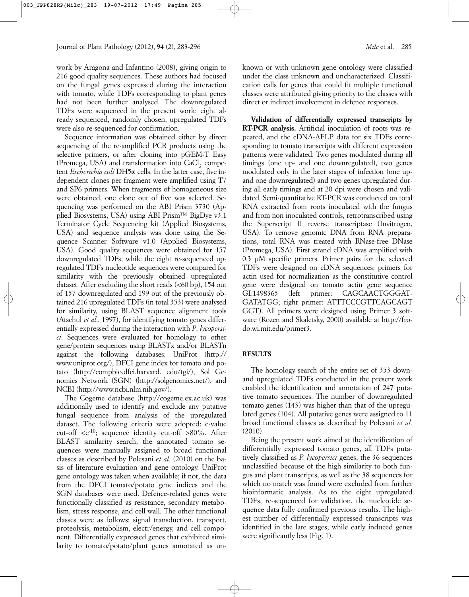work by Aragona and Infantino (2008), giving origin to 216 good quality sequences. These authors had focused on the fungal genes expressed during the interaction with tomato, while TDFs corresponding to plant genes had not been further analysed. The downregulated TDFs were sequenced in the present work; eight already sequenced, randomly chosen, upregulated TDFs were also re-sequenced for confirmation.

Sequence information was obtained either by direct sequencing of the re-amplified PCR products using the selective primers, or after cloning into pGEM-T Easy (Promega, USA) and transformation into CaCl<sub>2</sub> competent *Escherichia coli* DH5a cells. In the latter case, five independent clones per fragment were amplified using T7 and SP6 primers. When fragments of homogeneous size were obtained, one clone out of five was selected. Sequencing was performed on the ABI Prism 3730 (Applied Biosystems, USA) using ABI Prism™ BigDye v3.1 Terminator Cycle Sequencing kit (Applied Biosystems, USA) and sequence analysis was done using the Sequence Scanner Software v1.0 (Applied Biosystems, USA). Good quality sequences were obtained for 157 downregulated TDFs, while the eight re-sequenced upregulated TDFs nucleotide sequences were compared for similarity with the previously obtained upregulated dataset. After excluding the short reads (<60 bp), 154 out of 157 downregulated and 199 out of the previously obtained 216 upregulated TDFs (in total 353) were analysed for similarity, using BLAST sequence alignment tools (Atschul *et al*., 1997), for identifying tomato genes differentially expressed during the interaction with *P*. *lycopersici*. Sequences were evaluated for homology to other gene/protein sequences using BLASTx and/or BLASTn against the following databases: UniProt (http:// www.uniprot.org/), DFCI gene index for tomato and potato (http://compbio.dfci.harvard. edu/tgi/), Sol Genomics Network (SGN) (http://solgenomics.net/), and NCBI (http://www.ncbi.nlm.nih.gov/).

The Cogeme database (http://cogeme.ex.ac.uk) was additionally used to identify and exclude any putative fungal sequence from analysis of the upregulated dataset. The following criteria were adopted: e-value cut-off  $\langle e^{-10}$ ; sequence identity cut-off  $>80\%$ . After BLAST similarity search, the annotated tomato sequences were manually assigned to broad functional classes as described by Polesani *et al*. (2010) on the basis of literature evaluation and gene ontology. UniProt gene ontology was taken when available; if not, the data from the DFCI tomato/potato gene indices and the SGN databases were used. Defence-related genes were functionally classified as resistance, secondary metabolism, stress response, and cell wall. The other functional classes were as follows: signal transduction, transport, proteolysis, metabolism, electr/energy, and cell component. Differentially expressed genes that exhibited similarity to tomato/potato/plant genes annotated as unknown or with unknown gene ontology were classified under the class unknown and uncharacterized. Classification calls for genes that could fit multiple functional classes were attributed giving priority to the classes with direct or indirect involvement in defence responses.

**Validation of differentially expressed transcripts by RT-PCR analysis.** Artificial inoculation of roots was repeated, and the cDNA-AFLP data for six TDFs corresponding to tomato transcripts with different expression patterns were validated. Two genes modulated during all timings (one up- and one downregulated), two genes modulated only in the later stages of infection (one upand one downregulated) and two genes upregulated during all early timings and at 20 dpi were chosen and validated. Semi-quantitative RT-PCR was conducted on total RNA extracted from roots inoculated with the fungus and from non inoculated controls, retrotranscribed using the Superscript II reverse transcriptase (Invitrogen, USA). To remove genomic DNA from RNA preparations, total RNA was treated with RNase-free DNase (Promega, USA). First strand cDNA was amplified with 0.3 µM specific primers. Primer pairs for the selected TDFs were designed on cDNA sequences; primers for actin used for normalization as the constitutive control gene were designed on tomato actin gene sequence GI:1498365 (left primer: CAGCAACTGGGAT-GATATGG; right primer: ATTTCCCGTTCAGCAGT GGT). All primers were designed using Primer 3 software (Rozen and Skaletsky, 2000) available at http://frodo.wi.mit.edu/primer3.

## **RESULTS**

The homology search of the entire set of 353 downand upregulated TDFs conducted in the present work enabled the identification and annotation of 247 putative tomato sequences. The number of downregulated tomato genes (143) was higher than that of the upregulated genes (104). All putative genes were assigned to 11 broad functional classes as described by Polesani *et al.* (2010).

Being the present work aimed at the identification of differentially expressed tomato genes, all TDFs putatively classified as *P. lycopersici* genes, the 36 sequences unclassified because of the high similarity to both fungus and plant transcripts, as well as the 38 sequences for which no match was found were excluded from further bioinformatic analysis. As to the eight upregulated TDFs, re-sequenced for validation, the nucleotide sequence data fully confirmed previous results. The highest number of differentially expressed transcripts was identified in the late stages, while early induced genes were significantly less (Fig. 1).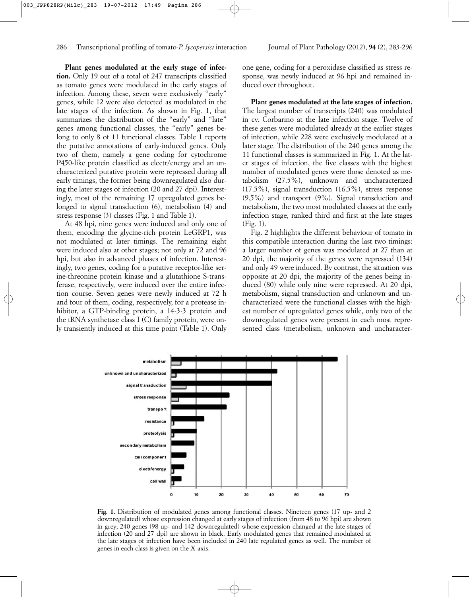**Plant genes modulated at the early stage of infection.** Only 19 out of a total of 247 transcripts classified as tomato genes were modulated in the early stages of infection. Among these, seven were exclusively "early" genes, while 12 were also detected as modulated in the late stages of the infection. As shown in Fig. 1, that summarizes the distribution of the "early" and "late" genes among functional classes, the "early" genes belong to only 8 of 11 functional classes. Table 1 reports the putative annotations of early-induced genes. Only two of them, namely a gene coding for cytochrome P450-like protein classified as electr/energy and an uncharacterized putative protein were repressed during all early timings, the former being downregulated also during the later stages of infection (20 and 27 dpi). Interestingly, most of the remaining 17 upregulated genes belonged to signal transduction (6), metabolism (4) and stress response (3) classes (Fig. 1 and Table 1).

At 48 hpi, nine genes were induced and only one of them, encoding the glycine-rich protein LeGRP1, was not modulated at later timings. The remaining eight were induced also at other stages; not only at 72 and 96 hpi, but also in advanced phases of infection. Interestingly, two genes, coding for a putative receptor-like serine-threonine protein kinase and a glutathione S-transferase, respectively, were induced over the entire infection course. Seven genes were newly induced at 72 h and four of them, coding, respectively, for a protease inhibitor, a GTP-binding protein, a 14-3-3 protein and the tRNA synthetase class I (C) family protein, were only transiently induced at this time point (Table 1). Only one gene, coding for a peroxidase classified as stress response, was newly induced at 96 hpi and remained induced over throughout.

**Plant genes modulated at the late stages of infection.** The largest number of transcripts (240) was modulated in cv. Corbarino at the late infection stage. Twelve of these genes were modulated already at the earlier stages of infection, while 228 were exclusively modulated at a later stage. The distribution of the 240 genes among the 11 functional classes is summarized in Fig. 1. At the later stages of infection, the five classes with the highest number of modulated genes were those denoted as metabolism (27.5%), unknown and uncharacterized (17.5%), signal transduction (16.5%), stress response (9.5%) and transport (9%). Signal transduction and metabolism, the two most modulated classes at the early infection stage, ranked third and first at the late stages (Fig. 1).

Fig. 2 highlights the different behaviour of tomato in this compatible interaction during the last two timings: a larger number of genes was modulated at 27 than at 20 dpi, the majority of the genes were repressed (134) and only 49 were induced. By contrast, the situation was opposite at 20 dpi, the majority of the genes being induced (80) while only nine were repressed. At 20 dpi, metabolism, signal transduction and unknown and uncharacterized were the functional classes with the highest number of upregulated genes while, only two of the downregulated genes were present in each most represented class (metabolism, unknown and uncharacter-



**Fig. 1.** Distribution of modulated genes among functional classes. Nineteen genes (17 up- and 2 downregulated) whose expression changed at early stages of infection (from 48 to 96 hpi) are shown in grey; 240 genes (98 up- and 142 downregulated) whose expression changed at the late stages of infection (20 and 27 dpi) are shown in black. Early modulated genes that remained modulated at the late stages of infection have been included in 240 late regulated genes as well. The number of genes in each class is given on the X-axis.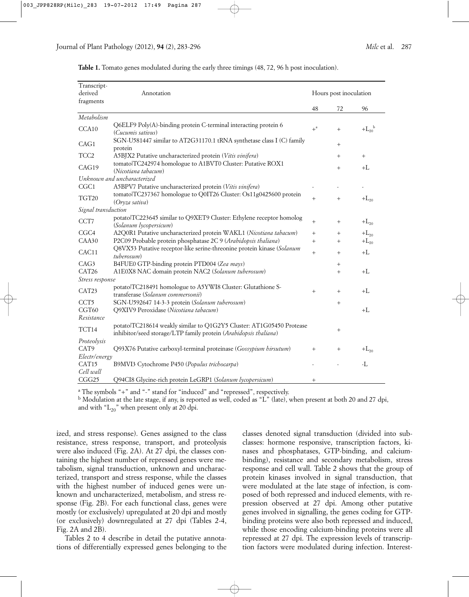| Transcript-<br>derived<br>fragments | Annotation                                                                                                                               | Hours post inoculation |        |                               |
|-------------------------------------|------------------------------------------------------------------------------------------------------------------------------------------|------------------------|--------|-------------------------------|
|                                     |                                                                                                                                          | 48                     | 72     | 96                            |
| Metabolism                          |                                                                                                                                          |                        |        |                               |
| CCA10                               | Q6ELF9 Poly(A)-binding protein C-terminal interacting protein 6<br><i>(Cucumis sativus)</i>                                              | $+$ <sup>a</sup>       | $^{+}$ | $+L_{20}^{\ b}$               |
| CAG1                                | SGN-U581447 similar to AT2G31170.1 tRNA synthetase class I (C) family<br>protein                                                         |                        | $^{+}$ |                               |
| TCC <sub>2</sub>                    | A5BJX2 Putative uncharacterized protein (Vitis vinifera)                                                                                 |                        | $+$    | $^{+}$                        |
| CAG19                               | tomatolTC242974 homologue to A1BVT0 Cluster: Putative ROX1<br>(Nicotiana tabacum)                                                        |                        | $+$    | $+L$                          |
|                                     | Unknown and uncharacterized                                                                                                              |                        |        |                               |
| CGC1                                | A5BPV7 Putative uncharacterized protein (Vitis vinifera)                                                                                 |                        |        |                               |
| TGT20                               | tomatolTC237367 homologue to Q0IT26 Cluster: Os11g0425600 protein<br>(Oryza sativa)                                                      | $^{+}$                 | $^{+}$ | $+ \mathcal{L}_{\mathbf{20}}$ |
| Signal transduction                 |                                                                                                                                          |                        |        |                               |
| CCT7                                | potato TC223645 similar to Q9XET9 Cluster: Ethylene receptor homolog<br>(Solanum lycopersicum)                                           | $^{+}$                 | $^{+}$ | $+L_{20}$                     |
| CGC <sub>4</sub>                    | A2Q0R1 Putative uncharacterized protein WAKL1 (Nicotiana tabacum)                                                                        | $^{+}$                 | $^{+}$ | $+L_{20}$                     |
| CAA30                               | P2C09 Probable protein phosphatase 2C 9 (Arabidopsis thaliana)                                                                           | $^{+}$                 | $+$    | $+L_{20}$                     |
| CAC11                               | Q8VX53 Putative receptor-like serine-threonine protein kinase (Solanum<br>tuberosum)                                                     | $^{+}$                 | $+$    | $+L$                          |
| CAG3                                | B4FUE0 GTP-binding protein PTD004 (Zea mays)                                                                                             |                        | $^{+}$ |                               |
| CAT26                               | A1E0X8 NAC domain protein NAC2 (Solanum tuberosum)                                                                                       |                        | $+$    | $+L$                          |
| Stress response                     |                                                                                                                                          |                        |        |                               |
| CAT23                               | potatolTC218491 homologue to A5YWI8 Cluster: Glutathione S-<br>transferase (Solanum commersonii)                                         | $^{+}$                 | $^{+}$ | $+L$                          |
| CCT <sub>5</sub>                    | SGN-U592647 14-3-3 protein (Solanum tuberosum)                                                                                           |                        | $^{+}$ |                               |
| CGT60                               | Q9XIV9 Peroxidase (Nicotiana tabacum)                                                                                                    |                        |        | $+L$                          |
| Resistance                          |                                                                                                                                          |                        |        |                               |
| TCT14                               | potatolTC218614 weakly similar to Q1G2Y5 Cluster: AT1G05450 Protease<br>inhibitor/seed storage/LTP family protein (Arabidopsis thaliana) |                        | $^{+}$ |                               |
| Proteolysis                         |                                                                                                                                          |                        |        |                               |
| CAT <sub>9</sub>                    | Q93X76 Putative carboxyl-terminal proteinase (Gossypium hirsutum)                                                                        | $^{+}$                 | $+$    | $+L_{20}$                     |
| Electr/energy                       |                                                                                                                                          |                        |        |                               |
| CAT <sub>15</sub>                   | B9MVI3 Cytochrome P450 (Populus trichocarpa)                                                                                             |                        |        | $-I$ .                        |
| Cell wall<br>CGG25                  | Q94CI8 Glycine-rich protein LeGRP1 (Solanum lycopersicum)                                                                                | $^+$                   |        |                               |

**Table 1.** Tomato genes modulated during the early three timings (48, 72, 96 h post inoculation).

<sup>a</sup> The symbols "+" and "-" stand for "induced" and "repressed", respectively.

<sup>b</sup> Modulation at the late stage, if any, is reported as well, coded as "L" (late), when present at both 20 and 27 dpi, and with " $L_{20}$ " when present only at 20 dpi.

ized, and stress response). Genes assigned to the class resistance, stress response, transport, and proteolysis were also induced (Fig. 2A). At 27 dpi, the classes containing the highest number of repressed genes were metabolism, signal transduction, unknown and uncharacterized, transport and stress response, while the classes with the highest number of induced genes were unknown and uncharacterized, metabolism, and stress response (Fig. 2B). For each functional class, genes were mostly (or exclusively) upregulated at 20 dpi and mostly (or exclusively) downregulated at 27 dpi (Tables 2-4, Fig. 2A and 2B).

Tables 2 to 4 describe in detail the putative annotations of differentially expressed genes belonging to the classes denoted signal transduction (divided into subclasses: hormone responsive, transcription factors, kinases and phosphatases, GTP-binding, and calciumbinding), resistance and secondary metabolism, stress response and cell wall. Table 2 shows that the group of protein kinases involved in signal transduction, that were modulated at the late stage of infection, is composed of both repressed and induced elements, with repression observed at 27 dpi. Among other putative genes involved in signalling, the genes coding for GTPbinding proteins were also both repressed and induced, while those encoding calcium-binding proteins were all repressed at 27 dpi. The expression levels of transcription factors were modulated during infection. Interest-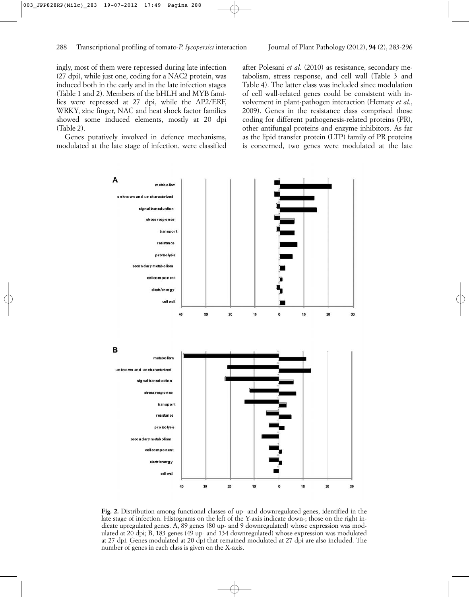ingly, most of them were repressed during late infection (27 dpi), while just one, coding for a NAC2 protein, was induced both in the early and in the late infection stages (Table 1 and 2). Members of the bHLH and MYB families were repressed at 27 dpi, while the AP2/ERF, WRKY, zinc finger, NAC and heat shock factor families showed some induced elements, mostly at 20 dpi (Table 2).

Genes putatively involved in defence mechanisms, modulated at the late stage of infection, were classified

after Polesani *et al.* (2010) as resistance, secondary metabolism, stress response, and cell wall (Table 3 and Table 4). The latter class was included since modulation of cell wall-related genes could be consistent with involvement in plant-pathogen interaction (Hematy *et al*., 2009). Genes in the resistance class comprised those coding for different pathogenesis-related proteins (PR), other antifungal proteins and enzyme inhibitors. As far as the lipid transfer protein (LTP) family of PR proteins is concerned, two genes were modulated at the late



**Fig. 2.** Distribution among functional classes of up- and downregulated genes, identified in the late stage of infection. Histograms on the left of the Y-axis indicate down-; those on the right indicate upregulated genes. A, 89 genes (80 up- and 9 downregulated) whose expression was modulated at 20 dpi; B, 183 genes (49 up- and 134 downregulated) whose expression was modulated at 27 dpi. Genes modulated at 20 dpi that remained modulated at 27 dpi are also included. The number of genes in each class is given on the X-axis.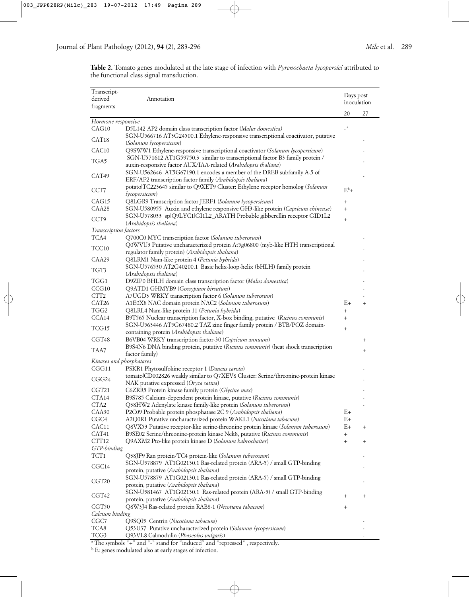| Transcript-<br>derived            | Annotation                                                                                                                                               | Days post<br>inoculation |                 |
|-----------------------------------|----------------------------------------------------------------------------------------------------------------------------------------------------------|--------------------------|-----------------|
| fragments                         |                                                                                                                                                          |                          |                 |
|                                   |                                                                                                                                                          | 20                       | 27              |
| Hormone responsive<br>CAG10       | D5L142 AP2 domain class transcription factor (Malus domestica)                                                                                           | $\_$ a $\,$              |                 |
|                                   | SGN-U566716 AT3G24500.1 Ethylene-responsive transcriptional coactivator, putative                                                                        |                          |                 |
| CAT18                             | (Solanum lycopersicum)                                                                                                                                   |                          |                 |
| CAC10                             | Q9SWW1 Ethylene-responsive transcriptional coactivator (Solanum lycopersicum)                                                                            |                          |                 |
| TGA5                              | SGN-U571612 AT1G59750.3 similar to transcriptional factor B3 family protein /                                                                            |                          |                 |
| CAT49                             | auxin-responsive factor AUX/IAA-related (Arabidopsis thaliana)<br>SGN-U562646 AT5G67190.1 encodes a member of the DREB subfamily A-5 of                  |                          |                 |
| CCT7                              | ERF/AP2 transcription factor family (Arabidopsis thaliana)<br>potato TC223645 similar to Q9XET9 Cluster: Ethylene receptor homolog (Solanum              | $E^b$ +                  |                 |
|                                   | lycopersicum)                                                                                                                                            |                          |                 |
| CAG15                             | Q8LGR9 Transcription factor JERF1 (Solanum lycopersicum)                                                                                                 | $^{+}$                   |                 |
| CAA28                             | SGN-U580955 Auxin and ethylene responsive GH3-like protein (Capsicum chinense)<br>SGN-U578033 splQ9LYC1lGI1L2_ARATH Probable gibberellin receptor GID1L2 | $^{+}$                   |                 |
| CCT <sub>9</sub>                  | (Arabidopsis thaliana)                                                                                                                                   | $^{+}$                   |                 |
| Transcription factors             |                                                                                                                                                          |                          |                 |
| TCA4                              | Q700C0 MYC transcription factor (Solanum tuberosum)                                                                                                      |                          |                 |
| TCC10                             | Q0WVU3 Putative uncharacterized protein At5g06800 (myb-like HTH transcriptional<br>regulator family protein) (Arabidopsis thaliana)                      |                          |                 |
| CAA29                             | Q8LRM1 Nam-like protein 4 (Petunia hybrida)                                                                                                              |                          |                 |
| TGT3                              | SGN-U576530 AT2G40200.1 Basic helix-loop-helix (bHLH) family protein                                                                                     |                          |                 |
| TGG1                              | (Arabidopsis thaliana)<br>D9ZIP0 BHLH domain class transcription factor (Malus domestica)                                                                |                          |                 |
| CCG10                             | Q9ATD1 GHMYB9 (Gossypium hirsutum)                                                                                                                       |                          |                 |
| CTT <sub>2</sub>                  | A7UGD3 WRKY transcription factor 6 (Solanum tuberosum)                                                                                                   |                          |                 |
| CAT26                             | A1E0X8 NAC domain protein NAC2 (Solanum tuberosum)                                                                                                       | $E+$                     | $+$             |
| TGG2                              | Q8LRL4 Nam-like protein 11 (Petunia hybrida)                                                                                                             | $^{+}$                   |                 |
| CCA14                             | B9T565 Nuclear transcription factor, X-box binding, putative (Ricinus communis)                                                                          |                          |                 |
| TCG15                             | SGN-U563446 AT5G67480.2 TAZ zinc finger family protein / BTB/POZ domain-<br>containing protein (Arabidopsis thaliana)                                    |                          |                 |
| CGT48                             | B6VB04 WRKY transcription factor-30 (Capsicum annuum)                                                                                                    |                          | $\! + \!\!\!\!$ |
| TAA7                              | B9S4N6 DNA binding protein, putative (Ricinus communis) (heat shock transcription                                                                        |                          | $^{+}$          |
|                                   | factor family)                                                                                                                                           |                          |                 |
| Kinases and phosphatases<br>CGG11 | PSKR1 Phytosulfokine receptor 1 (Daucus carota)                                                                                                          |                          |                 |
|                                   | tomatolCD002826 weakly similar to Q7XEV8 Cluster: Serine/threonine-protein kinase                                                                        |                          |                 |
| CGG24                             | NAK putative expressed (Oryza sativa)                                                                                                                    |                          |                 |
| CGT21                             | C6ZRR5 Protein kinase family protein (Glycine max)                                                                                                       |                          |                 |
| CTA14                             | B9S785 Calcium-dependent protein kinase, putative (Ricinus communis)                                                                                     |                          |                 |
| CTA <sub>2</sub>                  | Q38HW2 Adenylate kinase family-like protein (Solanum tuberosum)                                                                                          |                          |                 |
| CAA30                             | P2C09 Probable protein phosphatase 2C 9 (Arabidopsis thaliana)                                                                                           | $E+$                     |                 |
| CGC <sub>4</sub>                  | A2Q0R1 Putative uncharacterized protein WAKL1 (Nicotiana tabacum)                                                                                        | $E+$                     |                 |
| CAC11                             | Q8VX53 Putative receptor-like serine-threonine protein kinase (Solanum tuberosum)                                                                        | $E+$                     | $\! + \!\!\!\!$ |
| CAT41                             | B9SE02 Serine/threonine-protein kinase Nek8, putative (Ricinus communis)                                                                                 | $^{+}$                   |                 |
| CTT12                             | Q9AXM2 Pto-like protein kinase D (Solanum habrochaites)                                                                                                  | $^{+}$                   | $^{+}$          |
| GTP-binding<br>TCT1               |                                                                                                                                                          |                          |                 |
| CGC <sub>14</sub>                 | Q38JF9 Ran protein/TC4 protein-like (Solanum tuberosum)<br>SGN-U578879 AT1G02130.1 Ras-related protein (ARA-5) / small GTP-binding                       |                          |                 |
| CGT <sub>20</sub>                 | protein, putative (Arabidopsis thaliana)<br>SGN-U578879 AT1G02130.1 Ras-related protein (ARA-5) / small GTP-binding                                      |                          |                 |
| CGT42                             | protein, putative (Arabidopsis thaliana)<br>SGN-U581467 AT1G02130.1 Ras-related protein (ARA-5) / small GTP-binding                                      | $^{+}$                   | $^{+}$          |
|                                   | protein, putative (Arabidopsis thaliana)                                                                                                                 |                          |                 |
| CGT50<br>Calcium binding          | Q8W3J4 Ras-related protein RAB8-1 (Nicotiana tabacum)                                                                                                    | $\! + \!\!\!\!$          |                 |
| CGC7                              | Q9SQI5 Centrin (Nicotiana tabacum)                                                                                                                       |                          |                 |
| TCA8                              | Q53U37 Putative uncharacterized protein (Solanum lycopersicum)                                                                                           |                          |                 |
| TCG3                              | Q93VL8 Calmodulin (Phaseolus vulgaris)                                                                                                                   |                          |                 |
|                                   | <sup>a</sup> The symbols "," and " " stand for "induced" and "represent"                                                                                 |                          |                 |

**Table 2.** Tomato genes modulated at the late stage of infection with *Pyrenochaeta lycopersici* attributed to the functional class signal transduction.

a The symbols "+" and "-" stand for "induced" and "repressed" , respectively.

<sup>b</sup> E: genes modulated also at early stages of infection.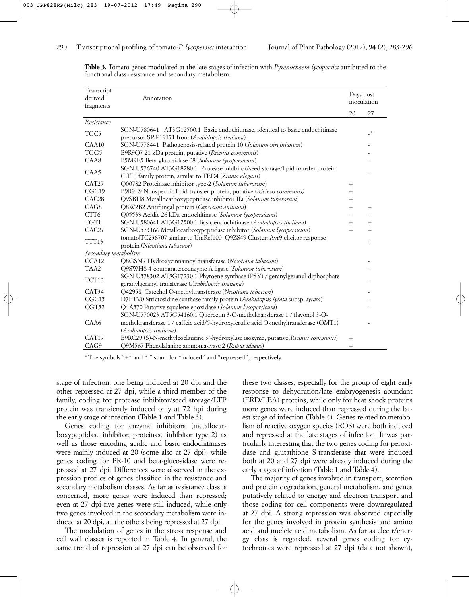| Transcript-<br>derived<br>fragments | Annotation                                                                                                                               | Days post<br>inoculation |                |
|-------------------------------------|------------------------------------------------------------------------------------------------------------------------------------------|--------------------------|----------------|
|                                     |                                                                                                                                          | 20                       | 27             |
| Resistance                          |                                                                                                                                          |                          |                |
| TGC5                                | SGN-U580641 AT3G12500.1 Basic endochitinase, identical to basic endochitinase<br>precursor SP:P19171 from (Arabidopsis thaliana)         |                          | $\overline{a}$ |
| CAA10                               | SGN-U578441 Pathogenesis-related protein 10 (Solanum virginianum)                                                                        |                          |                |
| TGG5                                | B9R9Q7 21 kDa protein, putative (Ricinus communis)                                                                                       |                          |                |
| CAA8                                | B5M9E5 Beta-glucosidase 08 (Solanum lycopersicum)                                                                                        |                          |                |
| CAA5                                | SGN-U576740 AT3G18280.1 Protease inhibitor/seed storage/lipid transfer protein<br>(LTP) family protein, similar to TED4 (Zinnia elegans) |                          |                |
| CAT <sub>27</sub>                   | Q00782 Proteinase inhibitor type-2 (Solanum tuberosum)                                                                                   | $^{+}$                   |                |
| CGC <sub>19</sub>                   | B9R9E9 Nonspecific lipid-transfer protein, putative (Ricinus communis)                                                                   | $^{+}$                   |                |
| CAC <sub>28</sub>                   | Q9SBH8 Metallocarboxypeptidase inhibitor IIa (Solanum tuberosum)                                                                         | $^{+}$                   |                |
| CAG <sub>8</sub>                    | Q8W2B2 Antifungal protein (Capsicum annuum)                                                                                              | $+$                      | $+$            |
| CTT6                                | Q05539 Acidic 26 kDa endochitinase (Solanum lycopersicum)                                                                                | $+$                      | $+$            |
| TGT1                                | SGN-U580641 AT3G12500.1 Basic endochitinase (Arabidopsis thaliana)                                                                       | $^{+}$                   | $^{+}$         |
| CAC <sub>27</sub>                   | SGN-U573166 Metallocarboxypeptidase inhibitor (Solanum lycopersicum)                                                                     | $^{+}$                   | $^{+}$         |
| TTT13                               | tomato TC236707 similar to UniRef100_Q9ZS49 Cluster: Avr9 elicitor response<br>protein (Nicotiana tabacum)                               |                          | $^{+}$         |
| Secondary metabolism                |                                                                                                                                          |                          |                |
| CCA <sub>12</sub>                   | Q8GSM7 Hydroxycinnamoyl transferase (Nicotiana tabacum)                                                                                  |                          |                |
| TAA <sub>2</sub>                    | Q9SWH8 4-coumarate:coenzyme A ligase (Solanum tuberosum)                                                                                 |                          |                |
| TCT10                               | SGN-U578302 AT5G17230.1 Phytoene synthase (PSY) / geranylgeranyl-diphosphate<br>geranylgeranyl transferase (Arabidopsis thaliana)        |                          |                |
| CAT34                               | Q42958 Catechol O-methyltransferase (Nicotiana tabacum)                                                                                  |                          |                |
| CGC15                               | D7LTV0 Strictosidine synthase family protein (Arabidopsis lyrata subsp. lyrata)                                                          |                          |                |
| CGT52                               | Q4A570 Putative squalene epoxidase (Solanum lycopersicum)                                                                                |                          |                |
|                                     | SGN-U570023 AT5G54160.1 Quercetin 3-O-methyltransferase 1 / flavonol 3-O-                                                                |                          |                |
| CAA6                                | methyltransferase 1 / caffeic acid/5-hydroxyferulic acid O-methyltransferase (OMT1)<br>(Arabidopsis thaliana)                            |                          |                |
| CAT <sub>17</sub>                   | B9RC29 (S)-N-methylcoclaurine 3'-hydroxylase isozyme, putative(Ricinus communis)                                                         | $^{+}$                   |                |
| CAG9                                | Q9M567 Phenylalanine ammonia-lyase 2 (Rubus idaeus)                                                                                      | $^{+}$                   |                |

**Table 3.** Tomato genes modulated at the late stages of infection with *Pyrenochaeta lycopersici* attributed to the functional class resistance and secondary metabolism.

a The symbols "+" and "-" stand for "induced" and "repressed", respectively.

stage of infection, one being induced at 20 dpi and the other repressed at 27 dpi, while a third member of the family, coding for protease inhibitor/seed storage/LTP protein was transiently induced only at 72 hpi during the early stage of infection (Table 1 and Table 3).

Genes coding for enzyme inhibitors (metallocarboxypeptidase inhibitor, proteinase inhibitor type 2) as well as those encoding acidic and basic endochitinases were mainly induced at 20 (some also at 27 dpi), while genes coding for PR-10 and beta-glucosidase were repressed at 27 dpi. Differences were observed in the expression profiles of genes classified in the resistance and secondary metabolism classes. As far as resistance class is concerned, more genes were induced than repressed; even at 27 dpi five genes were still induced, while only two genes involved in the secondary metabolism were induced at 20 dpi, all the others being repressed at 27 dpi.

The modulation of genes in the stress response and cell wall classes is reported in Table 4. In general, the same trend of repression at 27 dpi can be observed for

these two classes, especially for the group of eight early response to dehydration/late embryogenesis abundant (ERD/LEA) proteins, while only for heat shock proteins more genes were induced than repressed during the latest stage of infection (Table 4). Genes related to metabolism of reactive oxygen species (ROS) were both induced and repressed at the late stages of infection. It was particularly interesting that the two genes coding for peroxidase and glutathione S-transferase that were induced both at 20 and 27 dpi were already induced during the early stages of infection (Table 1 and Table 4).

The majority of genes involved in transport, secretion and protein degradation, general metabolism, and genes putatively related to energy and electron transport and those coding for cell components were downregulated at 27 dpi. A strong repression was observed especially for the genes involved in protein synthesis and amino acid and nucleic acid metabolism. As far as electr/energy class is regarded, several genes coding for cytochromes were repressed at 27 dpi (data not shown),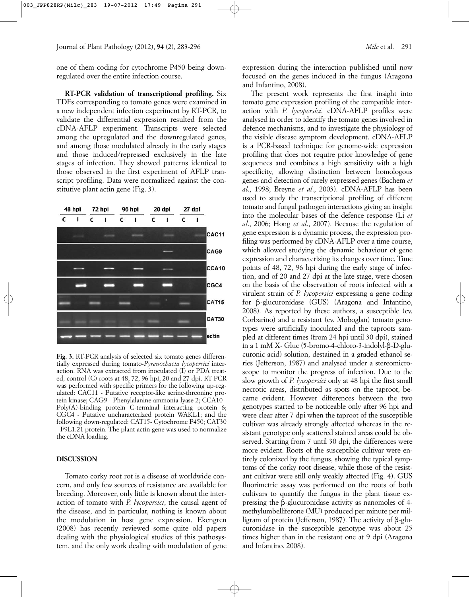one of them coding for cytochrome P450 being downregulated over the entire infection course.

**RT-PCR validation of transcriptional profiling.** Six TDFs corresponding to tomato genes were examined in a new independent infection experiment by RT-PCR, to validate the differential expression resulted from the cDNA-AFLP experiment. Transcripts were selected among the upregulated and the downregulated genes, and among those modulated already in the early stages and those induced/repressed exclusively in the late stages of infection. They showed patterns identical to those observed in the first experiment of AFLP transcript profiling. Data were normalized against the constitutive plant actin gene (Fig. 3).



**Fig. 3.** RT-PCR analysis of selected six tomato genes differentially expressed during tomato-*Pyrenochaeta lycopersici* interaction. RNA was extracted from inoculated (I) or PDA treated, control (C) roots at 48, 72, 96 hpi, 20 and 27 dpi. RT-PCR was performed with specific primers for the following up-regulated: CAC11 - Putative receptor-like serine-threonine protein kinase; CAG9 - Phenylalanine ammonia-lyase 2; CCA10 - Poly(A)-binding protein C-terminal interacting protein 6; CGC4 - Putative uncharacterized protein WAKL1; and the following down-regulated: CAT15- Cytochrome P450; CAT30 - F9L1.21 protein. The plant actin gene was used to normalize the cDNA loading.

### **DISCUSSION**

Tomato corky root rot is a disease of worldwide concern, and only few sources of resistance are available for breeding. Moreover, only little is known about the interaction of tomato with *P. lycopersici*, the causal agent of the disease, and in particular, nothing is known about the modulation in host gene expression. Ekengren (2008) has recently reviewed some quite old papers dealing with the physiological studies of this pathosystem, and the only work dealing with modulation of gene expression during the interaction published until now focused on the genes induced in the fungus (Aragona and Infantino, 2008).

The present work represents the first insight into tomato gene expression profiling of the compatible interaction with *P. lycopersici*. cDNA-AFLP profiles were analysed in order to identify the tomato genes involved in defence mechanisms, and to investigate the physiology of the visible disease symptom development. cDNA-AFLP is a PCR-based technique for genome-wide expression profiling that does not require prior knowledge of gene sequences and combines a high sensitivity with a high specificity, allowing distinction between homologous genes and detection of rarely expressed genes (Bachem *et al*., 1998; Breyne *et al*., 2003). cDNA-AFLP has been used to study the transcriptional profiling of different tomato and fungal pathogen interactions giving an insight into the molecular bases of the defence response (Li *et al*., 2006; Hong *et al*., 2007). Because the regulation of gene expression is a dynamic process, the expression profiling was performed by cDNA-AFLP over a time course, which allowed studying the dynamic behaviour of gene expression and characterizing its changes over time. Time points of 48, 72, 96 hpi during the early stage of infection, and of 20 and 27 dpi at the late stage, were chosen on the basis of the observation of roots infected with a virulent strain of *P. lycopersici* expressing a gene coding for b-glucuronidase (GUS) (Aragona and Infantino, 2008). As reported by these authors, a susceptible (cv. Corbarino) and a resistant (cv. Moboglan) tomato genotypes were artificially inoculated and the taproots sampled at different times (from 24 hpi until 30 dpi), stained in a  $1 \text{ mM } X$ - Gluc (5-bromo-4-chloro-3-indolyl- $\beta$ -D-glucuronic acid) solution, destained in a graded ethanol series (Jefferson, 1987) and analysed under a stereomicroscope to monitor the progress of infection. Due to the slow growth of *P. lycopersici* only at 48 hpi the first small necrotic areas, distributed as spots on the taproot, became evident. However differences between the two genotypes started to be noticeable only after 96 hpi and were clear after 7 dpi when the taproot of the susceptible cultivar was already strongly affected whereas in the resistant genotype only scattered stained areas could be observed. Starting from 7 until 30 dpi, the differences were more evident. Roots of the susceptible cultivar were entirely colonized by the fungus, showing the typical symptoms of the corky root disease, while those of the resistant cultivar were still only weakly affected (Fig. 4). GUS fluorimetric assay was performed on the roots of both cultivars to quantify the fungus in the plant tissue expressing the b-glucuronidase activity as nanomoles of 4 methylumbelliferone (MU) produced per minute per milligram of protein (Jefferson, 1987). The activity of  $\beta$ -glucuronidase in the susceptible genotype was about 25 times higher than in the resistant one at 9 dpi (Aragona and Infantino, 2008).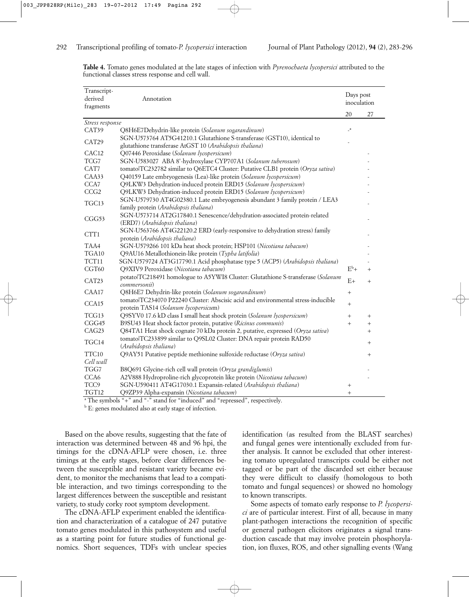| Transcript-<br>derived<br>fragments | Annotation                                                                                                               | Days post<br>inoculation |        |
|-------------------------------------|--------------------------------------------------------------------------------------------------------------------------|--------------------------|--------|
|                                     |                                                                                                                          | 20                       | 27     |
| Stress response                     |                                                                                                                          |                          |        |
| CAT39                               | Q8H6E7Dehydrin-like protein (Solanum sogarandinum)                                                                       | $\mathbf{a}$             |        |
| CAT29                               | SGN-U573764 AT5G41210.1 Glutathione S-transferase (GST10), identical to                                                  |                          |        |
|                                     | glutathione transferase AtGST 10 (Arabidopsis thaliana)                                                                  |                          |        |
| CAC12                               | Q07446 Peroxidase (Solanum lycopersicum)                                                                                 |                          |        |
| TCG7                                | SGN-U583027 ABA 8'-hydroxylase CYP707A1 (Solanum tuberosum)                                                              |                          |        |
| CAT7                                | tomatolTC232782 similar to Q6ETC4 Cluster: Putative CLB1 protein (Oryza sativa)                                          |                          |        |
| CAA33                               | Q40159 Late embryogenesis (Lea)-like protein (Solanum lycopersicum)                                                      |                          |        |
| CCA7                                | Q9LKW3 Dehydration-induced protein ERD15 (Solanum lycopersicum)                                                          |                          |        |
| CCG <sub>2</sub>                    | Q9LKW3 Dehydration-induced protein ERD15 (Solanum lycopersicum)                                                          |                          |        |
| TGC13                               | SGN-U579730 AT4G02380.1 Late embryogenesis abundant 3 family protein / LEA3<br>family protein (Arabidopsis thaliana)     |                          |        |
| CGG53                               | SGN-U573714 AT2G17840.1 Senescence/dehydration-associated protein-related<br>(ERD7) (Arabidopsis thaliana)               |                          |        |
| CTT1                                | SGN-U563766 AT4G22120.2 ERD (early-responsive to dehydration stress) family<br>protein (Arabidopsis thaliana)            |                          |        |
| TAA4                                | SGN-U579266 101 kDa heat shock protein; HSP101 (Nicotiana tabacum)                                                       |                          |        |
| TGA10                               | Q9AU16 Metallothionein-like protein (Typha latifolia)                                                                    |                          |        |
| TCT11                               | SGN-U579724 AT3G17790.1 Acid phosphatase type 5 (ACP5) (Arabidopsis thaliana)                                            |                          |        |
| CGT60                               | Q9XIV9 Peroxidase (Nicotiana tabacum)                                                                                    | $E^b$ +                  | $^{+}$ |
| CAT23                               | potato TC218491 homologue to A5YWI8 Cluster: Glutathione S-transferase (Solanum<br>commersonii)                          | E+                       | $^{+}$ |
| CAA17                               | Q8H6E7 Dehydrin-like protein (Solanum sogarandinum)                                                                      | $^{+}$                   |        |
| CCA15                               | tomato TC234070 P22240 Cluster: Abscisic acid and environmental stress-inducible<br>protein TAS14 (Solanum lycopersicum) | $+$                      |        |
| TCG13                               | Q9SYV0 17.6 kD class I small heat shock protein (Solanum lycopersicum)                                                   | $^{+}$                   | $^{+}$ |
| CGG45                               | B9SU43 Heat shock factor protein, putative (Ricinus communis)                                                            | $+$                      | $^{+}$ |
| CAG23                               | Q84TA1 Heat shock cognate 70 kDa protein 2, putative, expressed (Oryza sativa)                                           |                          | $^{+}$ |
| TGC14                               | tomato TC233899 similar to Q9SL02 Cluster: DNA repair protein RAD50<br>(Arabidopsis thaliana)                            |                          | $^{+}$ |
| TTC10                               | Q9AY51 Putative peptide methionine sulfoxide reductase (Oryza sativa)                                                    |                          | $^{+}$ |
| Cell wall                           |                                                                                                                          |                          |        |
| TGG7                                | B8Q691 Glycine-rich cell wall protein (Oryza grandiglumis)                                                               |                          |        |
| CCA6                                | A2V888 Hydroproline-rich glycoprotein like protein (Nicotiana tabacum)                                                   |                          |        |
| TCC <sub>9</sub>                    | SGN-U590411 AT4G17030.1 Expansin-related (Arabidopsis thaliana)                                                          | $^{+}$                   |        |
| TGT12                               | Q9ZP39 Alpha-expansin (Nicotiana tabacum)                                                                                | $\! +$                   |        |
|                                     | <sup>a</sup> The symbols "+" and "-" stand for "induced" and "repressed", respectively.                                  |                          |        |

**Table 4.** Tomato genes modulated at the late stages of infection with *Pyrenochaeta lycopersici* attributed to the functional classes stress response and cell wall.

b E: genes modulated also at early stage of infection.

Based on the above results, suggesting that the fate of interaction was determined between 48 and 96 hpi, the timings for the cDNA-AFLP were chosen, i.e. three timings at the early stages, before clear differences between the susceptible and resistant variety became evident, to monitor the mechanisms that lead to a compatible interaction, and two timings corresponding to the largest differences between the susceptible and resistant variety, to study corky root symptom development.

The cDNA-AFLP experiment enabled the identification and characterization of a catalogue of 247 putative tomato genes modulated in this pathosystem and useful as a starting point for future studies of functional genomics. Short sequences, TDFs with unclear species

identification (as resulted from the BLAST searches) and fungal genes were intentionally excluded from further analysis. It cannot be excluded that other interesting tomato upregulated transcripts could be either not tagged or be part of the discarded set either because they were difficult to classify (homologous to both tomato and fungal sequences) or showed no homology to known transcripts.

Some aspects of tomato early response to *P. lycopersici* are of particular interest. First of all, because in many plant-pathogen interactions the recognition of specific or general pathogen elicitors originates a signal transduction cascade that may involve protein phosphorylation, ion fluxes, ROS, and other signalling events (Wang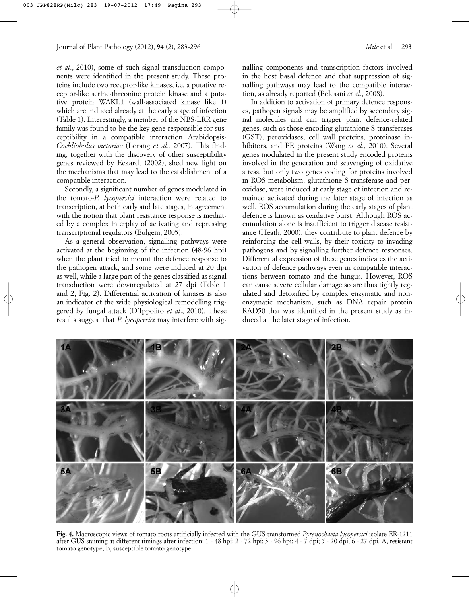*et al*., 2010), some of such signal transduction components were identified in the present study. These proteins include two receptor-like kinases, i.e. a putative receptor-like serine-threonine protein kinase and a putative protein WAKL1 (wall-associated kinase like 1) which are induced already at the early stage of infection (Table 1). Interestingly, a member of the NBS-LRR gene family was found to be the key gene responsible for susceptibility in a compatible interaction Arabidopsis-*Cochliobolus victoriae* (Lorang *et al.,* 2007). This finding, together with the discovery of other susceptibility genes reviewed by Eckardt (2002), shed new light on the mechanisms that may lead to the establishment of a compatible interaction.

Secondly, a significant number of genes modulated in the tomato-*P. lycopersici* interaction were related to transcription, at both early and late stages, in agreement with the notion that plant resistance response is mediated by a complex interplay of activating and repressing transcriptional regulators (Eulgem, 2005).

As a general observation, signalling pathways were activated at the beginning of the infection (48-96 hpi) when the plant tried to mount the defence response to the pathogen attack, and some were induced at 20 dpi as well, while a large part of the genes classified as signal transduction were downregulated at 27 dpi (Table 1 and 2, Fig. 2). Differential activation of kinases is also an indicator of the wide physiological remodelling triggered by fungal attack (D'Ippolito *et al*., 2010). These results suggest that *P. lycopersici* may interfere with signalling components and transcription factors involved in the host basal defence and that suppression of signalling pathways may lead to the compatible interaction, as already reported (Polesani *et al*., 2008).

In addition to activation of primary defence responses, pathogen signals may be amplified by secondary signal molecules and can trigger plant defence-related genes, such as those encoding glutathione S-transferases (GST), peroxidases, cell wall proteins, proteinase inhibitors, and PR proteins (Wang *et al*., 2010). Several genes modulated in the present study encoded proteins involved in the generation and scavenging of oxidative stress, but only two genes coding for proteins involved in ROS metabolism, glutathione S-transferase and peroxidase, were induced at early stage of infection and remained activated during the later stage of infection as well. ROS accumulation during the early stages of plant defence is known as oxidative burst. Although ROS accumulation alone is insufficient to trigger disease resistance (Heath, 2000), they contribute to plant defence by reinforcing the cell walls, by their toxicity to invading pathogens and by signalling further defence responses. Differential expression of these genes indicates the activation of defence pathways even in compatible interactions between tomato and the fungus. However, ROS can cause severe cellular damage so are thus tightly regulated and detoxified by complex enzymatic and nonenzymatic mechanism, such as DNA repair protein RAD50 that was identified in the present study as induced at the later stage of infection.

**5A 5B** 

**Fig. 4.** Macroscopic views of tomato roots artificially infected with the GUS-transformed *Pyrenochaeta lycopersici* isolate ER-1211 after GUS staining at different timings after infection: 1 - 48 hpi; 2 - 72 hpi; 3 - 96 hpi; 4 - 7 dpi; 5 - 20 dpi; 6 - 27 dpi. A, resistant tomato genotype; B, susceptible tomato genotype.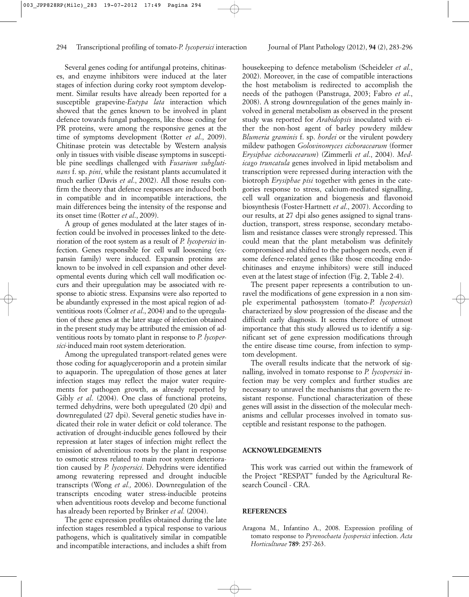Several genes coding for antifungal proteins, chitinases, and enzyme inhibitors were induced at the later stages of infection during corky root symptom development. Similar results have already been reported for a susceptible grapevine-*Eutypa lata* interaction which showed that the genes known to be involved in plant defence towards fungal pathogens, like those coding for PR proteins, were among the responsive genes at the time of symptoms development (Rotter *et al*., 2009). Chitinase protein was detectable by Western analysis only in tissues with visible disease symptoms in susceptible pine seedlings challenged with *Fusarium subglutinans* f. sp. *pini*, while the resistant plants accumulated it much earlier (Davis *et al*., 2002). All those results confirm the theory that defence responses are induced both in compatible and in incompatible interactions, the main differences being the intensity of the response and its onset time (Rotter *et al*., 2009).

A group of genes modulated at the later stages of infection could be involved in processes linked to the deterioration of the root system as a result of *P. lycopersici* infection. Genes responsible for cell wall loosening (expansin family) were induced. Expansin proteins are known to be involved in cell expansion and other developmental events during which cell wall modification occurs and their upregulation may be associated with response to abiotic stress. Expansins were also reported to be abundantly expressed in the most apical region of adventitious roots (Colmer *et al*., 2004) and to the upregulation of these genes at the later stage of infection obtained in the present study may be attributed the emission of adventitious roots by tomato plant in response to *P. lycopersici*-induced main root system deterioration.

Among the upregulated transport-related genes were those coding for aquaglyceroporin and a protein similar to aquaporin. The upregulation of those genes at later infection stages may reflect the major water requirements for pathogen growth, as already reported by Gibly *et al*. (2004). One class of functional proteins, termed dehydrins, were both upregulated (20 dpi) and downregulated (27 dpi). Several genetic studies have indicated their role in water deficit or cold tolerance. The activation of drought-inducible genes followed by their repression at later stages of infection might reflect the emission of adventitious roots by the plant in response to osmotic stress related to main root system deterioration caused by *P. lycopersici*. Dehydrins were identified among rewatering repressed and drought inducible transcripts (Wong *et al.,* 2006). Downregulation of the transcripts encoding water stress-inducible proteins when adventitious roots develop and become functional has already been reported by Brinker *et al.* (2004).

The gene expression profiles obtained during the late infection stages resembled a typical response to various pathogens, which is qualitatively similar in compatible and incompatible interactions, and includes a shift from

housekeeping to defence metabolism (Scheideler *et al*., 2002). Moreover, in the case of compatible interactions the host metabolism is redirected to accomplish the needs of the pathogen (Panstruga, 2003; Fabro *et al*., 2008). A strong downregulation of the genes mainly involved in general metabolism as observed in the present study was reported for *Arabidopsis* inoculated with either the non-host agent of barley powdery mildew *Blumeria graminis* f. sp. *hordei* or the virulent powdery mildew pathogen *Golovinomyces cichoracearum* (former *Erysiphae cichoracearum*) (Zimmerli *et al*., 2004). *Medicago truncatula* genes involved in lipid metabolism and transcription were repressed during interaction with the biotroph *Erysiphae pisi* together with genes in the categories response to stress, calcium-mediated signalling, cell wall organization and biogenesis and flavonoid biosynthesis (Foster-Hartnett *et al*., 2007). According to our results, at 27 dpi also genes assigned to signal transduction, transport, stress response, secondary metabolism and resistance classes were strongly repressed. This could mean that the plant metabolism was definitely compromised and shifted to the pathogen needs, even if some defence-related genes (like those encoding endochitinases and enzyme inhibitors) were still induced even at the latest stage of infection (Fig. 2, Table 2-4).

The present paper represents a contribution to unravel the modifications of gene expression in a non simple experimental pathosystem (tomato-*P. lycopersici*) characterized by slow progression of the disease and the difficult early diagnosis. It seems therefore of utmost importance that this study allowed us to identify a significant set of gene expression modifications through the entire disease time course, from infection to symptom development.

The overall results indicate that the network of signalling, involved in tomato response to *P. lycopersici* infection may be very complex and further studies are necessary to unravel the mechanisms that govern the resistant response. Functional characterization of these genes will assist in the dissection of the molecular mechanisms and cellular processes involved in tomato susceptible and resistant response to the pathogen.

### **ACKNOWLEDGEMENTS**

This work was carried out within the framework of the Project "RESPAT" funded by the Agricultural Research Council - CRA.

### **REFERENCES**

Aragona M., Infantino A., 2008. Expression profiling of tomato response to *Pyrenochaeta lycopersici* infection. *Acta Horticulturae* **789**: 257-263.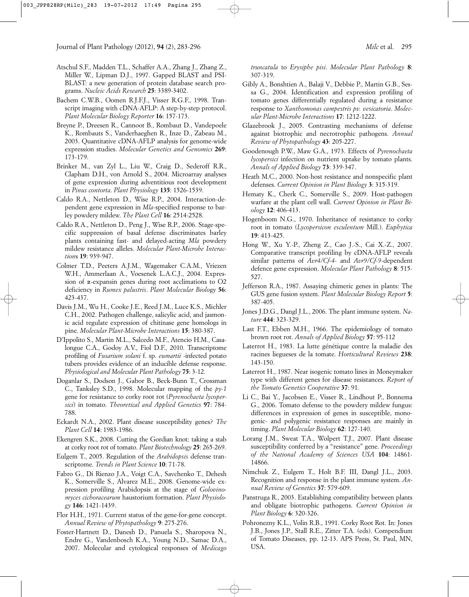- Atschul S.F., Madden T.L., Schaffer A.A., Zhang J., Zhang Z., Miller W., Lipman D.J., 1997. Gapped BLAST and PSI-BLAST: a new generation of protein database search programs. *Nucleic Acids Research* **25**: 3389-3402.
- Bachem C.W.B., Oomen R.J.F.J., Visser R.G.F., 1998. Transcript imaging with cDNA-AFLP: A step-by-step protocol. *Plant Molecular Biology Reporter* **16**: 157-173.
- Breyne P., Dreesen R., Cannoot B., Rombaut D., Vandepoele K., Rombauts S., Vanderhaeghen R., Inze D., Zabeau M., 2003. Quantitative cDNA-AFLP analysis for genome-wide expression studies. *Molecular Genetics and Genomics* **269**: 173-179.
- Brinker M., van Zyl L., Liu W., Craig D., Sederoff R.R., Clapham D.H., von Arnold S., 2004. Microarray analyses of gene expression during adventitious root development in *Pinus contorta*. *Plant Physiology* **135**: 1526-1539.
- Caldo R.A., Nettleton D., Wise R.P., 2004. Interaction-dependent gene expression in *Mla*-specified response to barley powdery mildew. *The Plant Cell* **16**: 2514-2528.
- Caldo R.A., Nettleton D., Peng J., Wise R.P., 2006. Stage-specific suppression of basal defense discriminates barley plants containing fast- and delayed-acting *Mla* powdery mildew resistance alleles. *Molecular Plant-Microbe Interaction*s **19**: 939-947.
- Colmer T.D., Peeters A.J.M., Wagemaker C.A.M., Vriezen W.H., Ammerlaan A., Voesenek L.A.C.J., 2004. Expression of a-expansin genes during root acclimations to O2 deficiency in *Rumex palustris*. *Plant Molecular Biolo*gy **56**: 423-437.
- Davis J.M., Wu H., Cooke J.E., Reed J.M., Luce K.S., Michler C.H., 2002. Pathogen challenge, salicylic acid, and jasmonic acid regulate expression of chitinase gene homologs in pine. *Molecular Plant-Microbe Interactions* **15**: 380-387.
- D'Ippolito S., Martin M.L., Salcedo M.F., Atencio H.M., Casalongue C.A., Godoy A.V., Fiol D.F., 2010. Transcriptome profiling of *Fusarium solani* f. sp. *eumartii* -infected potato tubers provides evidence of an inducible defense response. *Physiological and Molecular Plant Pathology* **75**: 3-12.
- Doganlar S., Dodson J., Gabor B., Beck-Bunn T., Crossman C., Tanksley S.D., 1998. Molecular mapping of the *py-1* gene for resistance to corky root rot (*Pyrenochaeta lycopersici*) in tomato. *Theoretical and Applied Genetics* **97**: 784- 788.
- Eckardt N.A., 2002. Plant disease susceptibility genes? *The Plant Cell* **14**: 1983-1986.
- Ekengren S.K., 2008. Cutting the Gordian knot: taking a stab at corky root rot of tomato. *Plant Biotechnology* **25**: 265-269.
- Eulgem T., 2005. Regulation of the *Arabidopsis* defense transcriptome. *Trends in Plant Science* **10**: 71-78.
- Fabro G., Di Rienzo J.A., Voigt C.A., Savchenko T., Dehesh K., Somerville S., Alvarez M.E., 2008. Genome-wide expression profiling Arabidopsis at the stage of *Golovinomyces cichoracearum* haustorium formation. *Plant Physiology* **146**: 1421-1439.
- Flor H.H., 1971. Current status of the gene-for-gene concept. *Annual Review of Phytopathology* **9**: 275-276.
- Foster-Hartnett D., Danesh D., Panuela S., Sharopova N., Endre G., Vandenbosch K.A., Young N.D., Samac D.A., 2007. Molecular and cytological responses of *Medicago*

*truncatula* to *Erysiphe pisi*. *Molecular Plant Pathology* **8**: 307-319.

- Gibly A., Bonshtien A., Balaji V., Debbie P., Martin G.B., Sessa G., 2004. Identification and expression profiling of tomato genes differentially regulated during a resistance response to *Xanthomonas campestris pv. vesicatoria*. *Molecular Plant-Microbe Interactions* **17**: 1212-1222.
- Glazebrook J., 2005. Contrasting mechanisms of defense against biotrophic and necrotrophic pathogens. *Annual Review of Phytopathology* **43**: 205-227.
- Goodenough P.W., Maw G.A., 1973. Effects of *Pyrenochaeta lycopersici* infection on nutrient uptake by tomato plants. *Annals of Applied Biology* **73**: 339-347.
- Heath M.C., 2000. Non-host resistance and nonspecific plant defenses. *Current Opinion in Plant Biology* **3**: 315-319.
- Hematy K., Cherk C., Somerville S., 2009. Host-pathogen warfare at the plant cell wall. *Current Opinion in Plant Biology* **12**: 406-413.
- Hogenboom N.G., 1970. Inheritance of resistance to corky root in tomato (*Lycopersicon esculentum* Mill.). *Euphytica* **19**: 413-425.
- Hong W., Xu Y.-P., Zheng Z., Cao J.-S., Cai X.-Z., 2007. Comparative transcript profiling by cDNA-AFLP reveals similar patterns of *Avr4/Cf-4*- and *Avr9/Cf-9*-dependent defence gene expression. *Molecular Plant Pathology* **8**: 515- 527.
- Jefferson R.A., 1987. Assaying chimeric genes in plants: The GUS gene fusion system. *Plant Molecular Biology Report* **5**: 387-405.
- Jones J.D.G., Dangl J.L., 2006. The plant immune system. *Nature* **444**: 323-329.
- Last F.T., Ebben M.H., 1966. The epidemiology of tomato brown root rot. *Annals of Applied Biology* **57**: 95-112
- Laterrot H., 1983. La lutte génétique contre la maladie des racines liegueses de la tomate. *Horticultural Reviews* **238**: 143-150.
- Laterrot H., 1987. Near isogenic tomato lines in Moneymaker type with different genes for disease resistances. *Report of the Tomato Genetics Cooperative* **37**: 91.
- Li C., Bai Y., Jacobsen E., Visser R., Lindhout P., Bonnema G., 2006. Tomato defense to the powdery mildew fungus: differences in expression of genes in susceptible, monogenic- and polygenic resistance responses are mainly in timing. *Plant Molecular Biology* **62**: 127-140.
- Lorang J.M., Sweat T.A., Wolpert T.J., 2007. Plant disease susceptibility conferred by a "resistance" gene. *Proceedings of the National Academy of Sciences USA* **104**: 14861- 14866.
- Nimchuk Z., Eulgem T., Holt B.F. III, Dangl J.L., 2003. Recognition and response in the plant immune system. *Annual Review of Genetics* **37**: 579-609.
- Panstruga R., 2003. Establishing compatibility between plants and obligate biotrophic pathogens. *Current Opinion in Plant Biology* **6**: 320-326.
- Pohronezny K.L., Volin R.B., 1991. Corky Root Rot. In: Jones J.B., Jones J.P., Stall R.E., Zitter T.A. (eds). Compendium of Tomato Diseases, pp. 12-13. APS Press, St. Paul, MN, USA.